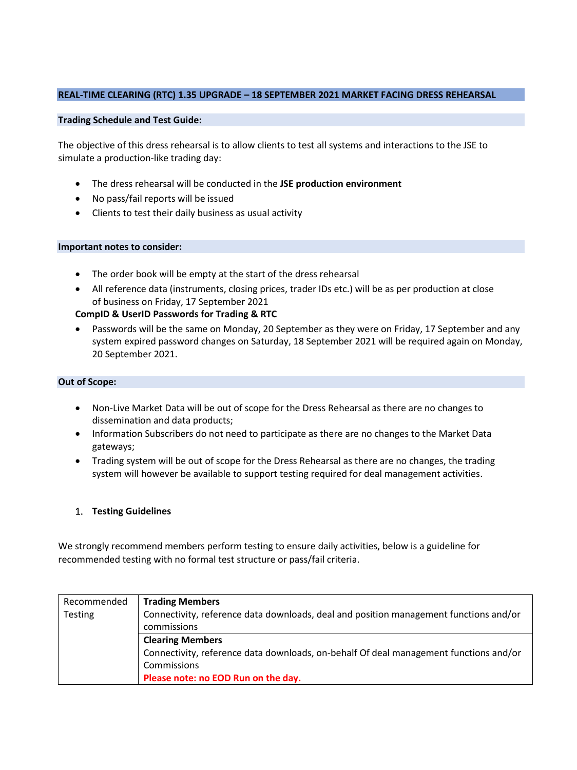## **REAL-TIME CLEARING (RTC) 1.35 UPGRADE – 18 SEPTEMBER 2021 MARKET FACING DRESS REHEARSAL**

## **Trading Schedule and Test Guide:**

The objective of this dress rehearsal is to allow clients to test all systems and interactions to the JSE to simulate a production-like trading day:

- The dress rehearsal will be conducted in the **JSE production environment**
- No pass/fail reports will be issued
- Clients to test their daily business as usual activity

#### **Important notes to consider:**

- The order book will be empty at the start of the dress rehearsal
- All reference data (instruments, closing prices, trader IDs etc.) will be as per production at close of business on Friday, 17 September 2021

## **CompID & UserID Passwords for Trading & RTC**

• Passwords will be the same on Monday, 20 September as they were on Friday, 17 September and any system expired password changes on Saturday, 18 September 2021 will be required again on Monday, 20 September 2021.

### **Out of Scope:**

- Non-Live Market Data will be out of scope for the Dress Rehearsal as there are no changes to dissemination and data products;
- Information Subscribers do not need to participate as there are no changes to the Market Data gateways;
- Trading system will be out of scope for the Dress Rehearsal as there are no changes, the trading system will however be available to support testing required for deal management activities.

## 1. **Testing Guidelines**

We strongly recommend members perform testing to ensure daily activities, below is a guideline for recommended testing with no formal test structure or pass/fail criteria.

| Recommended    | <b>Trading Members</b>                                                                |  |
|----------------|---------------------------------------------------------------------------------------|--|
| <b>Testing</b> | Connectivity, reference data downloads, deal and position management functions and/or |  |
|                | commissions                                                                           |  |
|                | <b>Clearing Members</b>                                                               |  |
|                | Connectivity, reference data downloads, on-behalf Of deal management functions and/or |  |
|                | Commissions                                                                           |  |
|                | Please note: no EOD Run on the day.                                                   |  |